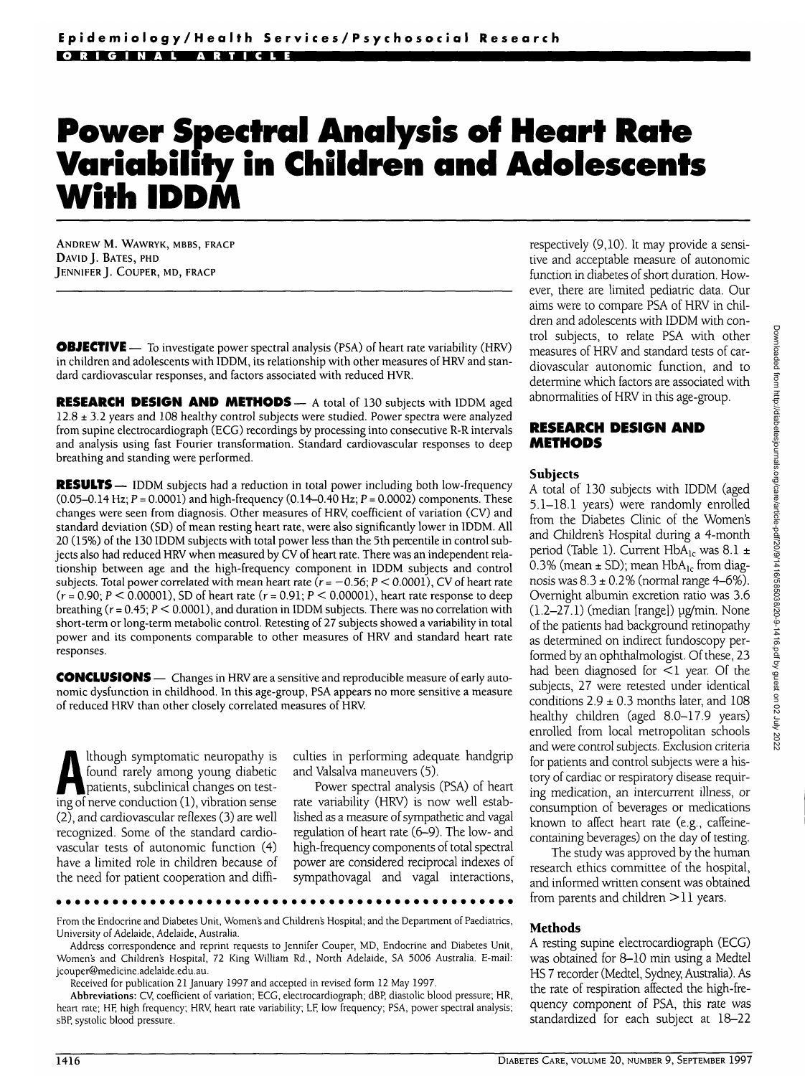# **Power Spectral Analysis of Heart Rate Variability in Children and Adolescents With IDDM**

ANDREW M. WAWRYK, MBBS, FRACP DAVID J. BATES, PHD JENNIFER J. COUPER, MD, FRACP

**OBJECTIVE** — To investigate power spectral analysis (PSA) of heart rate variability (HRV) in children and adolescents with IDDM, its relationship with other measures of HRV and standard cardiovascular responses, and factors associated with reduced HVR.

**RESEARCH DESIGN AND METHODS—** A total of 130 subjects with IDDM aged 12.8 ± 3.2 years and 108 healthy control subjects were studied. Power spectra were analyzed from supine electrocardiograph (ECG) recordings by processing into consecutive R-R intervals and analysis using fast Fourier transformation. Standard cardiovascular responses to deep breathing and standing were performed.

**RESULTS** — IDDM subjects had a reduction in total power including both low-frequency (0.05-0.14 Hz;  $P = 0.0001$ ) and high-frequency (0.14-0.40 Hz;  $P = 0.0002$ ) components. These changes were seen from diagnosis. Other measures of HRV, coefficient of variation (CV) and standard deviation (SD) of mean resting heart rate, were also significantly lower in IDDM. All 20 (15%) of the 130 IDDM subjects with total power less than the 5th percentile in control subjects also had reduced HRV when measured by CV of heart rate. There was an independent relationship between age and the high-frequency component in IDDM subjects and control subjects. Total power correlated with mean heart rate ( $r = -0.56$ ;  $P < 0.0001$ ), CV of heart rate  $(r = 0.90; P \le 0.00001)$ , SD of heart rate  $(r = 0.91; P \le 0.00001)$ , heart rate response to deep breathing ( $r = 0.45$ ;  $P \le 0.0001$ ), and duration in IDDM subjects. There was no correlation with short-term or long-term metabolic control. Retesting of 27 subjects showed a variability in total power and its components comparable to other measures of HRV and standard heart rate responses.

**CONCLUSIONS** — Changes in HRV are a sensitive and reproducible measure of early autonomic dysfunction in childhood. In this age-group, PSA appears no more sensitive a measure of reduced HRV than other closely correlated measures of HRV.

Although symptomatic neuropathy is<br>found rarely among young diabetic<br>patients, subclinical changes on test-<br>ing of nerve conduction (1) vibration sense found rarely among young diabetic ing of nerve conduction (1), vibration sense (2), and cardiovascular reflexes (3) are well recognized. Some of the standard cardiovascular tests of autonomic function (4) have a limited role in children because of the need for patient cooperation and diffi-

culties in performing adequate handgrip and Valsalva maneuvers (5).

Power spectral analysis (PSA) of heart rate variability (HRV) is now well established as a measure of sympathetic and vagal regulation of heart rate (6-9). The low- and high-frequency components of total spectral power are considered reciprocal indexes of sympathovagal and vagal interactions,

From the Endocrine and Diabetes Unit, Women's and Children's Hospital; and the Department of Paediatrics, University of Adelaide, Adelaide, Australia.

Address correspondence and reprint requests to Jennifer Couper, MD, Endocrine and Diabetes Unit, Women's and Children's Hospital, 72 King William Rd., North Adelaide, SA 5006 Australia. E-mail: jcouper@medicine.adelaide.edu.au.

Received for publication 21 January 1997 and accepted in revised form 12 May 1997.

Abbreviations: CV, coefficient of variation; ECG, electrocardiograph; dBP, diastolic blood pressure; HR, heart rate; HE. high frequency; HRV, heart rate variability; LF, low frequency; PSA, power spectral analysis; sBP, systolic blood pressure.

respectively (9,10). It may provide a sensitive and acceptable measure of autonomic function in diabetes of short duration. However, there are limited pediatric data. Our aims were to compare PSA of HRV in children and adolescents with IDDM with control subjects, to relate PSA with other measures of HRV and standard tests of cardiovascular autonomic function, and to determine which factors are associated with abnormalities of HRV in this age-group.

#### **RESEARCH DESIGN AND METHODS**

#### **Subjects**

A total of 130 subjects with IDDM (aged 5.1-18.1 years) were randomly enrolled from the Diabetes Clinic of the Women's and Children's Hospital during a 4-month period (Table 1). Current  $HbA_{1c}$  was 8.1  $\pm$ 0.3% (mean  $\pm$  SD); mean HbA<sub>1c</sub> from diagnosis was  $8.3 \pm 0.2\%$  (normal range  $4-6\%$ ). Overnight albumin excretion ratio was 3.6  $(1.2-27.1)$  (median [range])  $\mu$ g/min. None of the patients had background retinopathy as determined on indirect fundoscopy performed by an ophthalmologist. Of these, 23 had been diagnosed for  $\leq$ 1 year. Of the subjects, 27 were retested under identical conditions  $2.9 \pm 0.3$  months later, and 108 healthy children (aged 8.0-17.9 years) enrolled from local metropolitan schools and were control subjects. Exclusion criteria for patients and control subjects were a history of cardiac or respiratory disease requiring medication, an intercurrent illness, or consumption of beverages or medications known to affect heart rate (e.g., caffeinecontaining beverages) on the day of testing.

The study was approved by the human research ethics committee of the hospital, and informed written consent was obtained from parents and children > 11 years.

#### **Methods**

A resting supine electrocardiograph (ECG) was obtained for 8-10 min using a Medtel HS 7 recorder (Medtel, Sydney, Australia). As the rate of respiration affected the high-frequency component of PSA, this rate was standardized for each subject at 18-22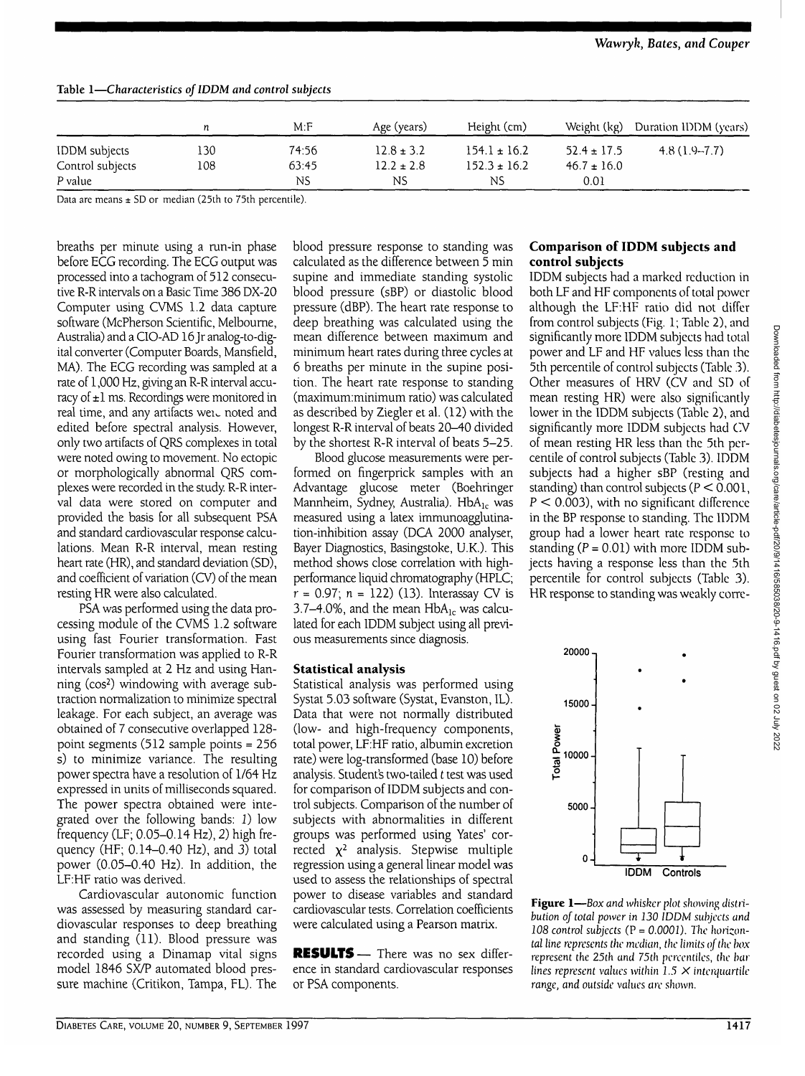|                      | n   | M: F  | Age (years)    | Height (cm)      | Weight (kg)     | Duration IDDM (years) |  |
|----------------------|-----|-------|----------------|------------------|-----------------|-----------------------|--|
| <b>IDDM</b> subjects | 130 | 74:56 | $12.8 \pm 3.2$ | $154.1 \pm 16.2$ | $52.4 \pm 17.5$ | $4.8(1.9 - 7.7)$      |  |
| Control subjects     | 108 | 63:45 | $12.2 \pm 2.8$ | $152.3 \pm 16.2$ | $46.7 \pm 16.0$ |                       |  |
| P value              |     | NS.   | NS             | ΝS               | 0.01            |                       |  |

## **Table 1—***Characteristics oflDDM and control subjects*

Data are means ± SD or median (25th to 75th percentile).

breaths per minute using a run-in phase before ECG recording. The ECG output was processed into a tachogram of 512 consecutive R-R intervals on a Basic Time 386 DX-20 Computer using CVMS 1.2 data capture software (McPherson Scientific, Melbourne, Australia) and a CIO-AD 16 Jr analog-to-digital converter (Computer Boards, Mansfield, MA). The ECG recording was sampled at a rate of 1,000 Hz, giving an R-R interval accuracy of  $\pm 1$  ms. Recordings were monitored in real time, and any artifacts weil noted and edited before spectral analysis. However, only two artifacts of QRS complexes in total were noted owing to movement. No ectopic or morphologically abnormal QRS complexes were recorded in the study R-R interval data were stored on computer and provided the basis for all subsequent PSA and standard cardiovascular response calculations. Mean R-R interval, mean resting heart rate (HR), and standard deviation (SD), and coefficient of variation (CV) of the mean resting HR were also calculated.

PSA was performed using the data processing module of the CVMS 1.2 software using fast Fourier transformation. Fast Fourier transformation was applied to R-R intervals sampled at 2 Hz and using Hanning (cos2 ) windowing with average subtraction normalization to minimize spectral leakage. For each subject, an average was obtained of 7 consecutive overlapped 128 point segments (512 sample points = 256 s) to minimize variance. The resulting power spectra have a resolution of 1/64 Hz expressed in units of milliseconds squared. The power spectra obtained were integrated over the following bands: I) low frequency (LF; 0.05-0.14 Hz), 2) high frequency (HF; 0.14-0.40 Hz), and 3) total power (0.05-0.40 Hz). In addition, the LF:HF ratio was derived.

Cardiovascular autonomic function was assessed by measuring standard cardiovascular responses to deep breathing and standing (11). Blood pressure was recorded using a Dinamap vital signs model 1846 SX/P automated blood pressure machine (Critikon, Tampa, FL). The

blood pressure response to standing was calculated as the difference between 5 min supine and immediate standing systolic blood pressure (sBP) or diastolic blood pressure (dBP). The heart rate response to deep breathing was calculated using the mean difference between maximum and minimum heart rates during three cycles at 6 breaths per minute in the supine position. The heart rate response to standing (maximum:minimum ratio) was calculated as described by Ziegler et al. (12) with the longest R-R interval of beats 20-40 divided by the shortest R-R interval of beats 5-25.

Blood glucose measurements were performed on fingerprick samples with an Advantage glucose meter (Boehringer Mannheim, Sydney, Australia). HbA<sub>lc</sub> was measured using a latex immunoagglutination-inhibition assay (DCA 2000 analyser, Bayer Diagnostics, Basingstoke, U.K.). This method shows close correlation with highperformance liquid chromatography (HPLC;  $r = 0.97$ ;  $n = 122$ ) (13). Interassay CV is 3.7–4.0%, and the mean  $HbA_{1c}$  was calculated for each IDDM subject using all previous measurements since diagnosis.

#### **Statistical analysis**

Statistical analysis was performed using Systat 5.03 software (Systat, Evanston, IL). Data that were not normally distributed (low- and high-frequency components, total power, LF:HF ratio, albumin excretion rate) were log-transformed (base 10) before analysis. Student's two-tailed *t* test was used for comparison of IDDM subjects and control subjects. Comparison of the number of subjects with abnormalities in different groups was performed using Yates' corrected x<sup>2</sup> analysis. Stepwise multiple regression using a general linear model was used to assess the relationships of spectral power to disease variables and standard cardiovascular tests. Correlation coefficients were calculated using a Pearson matrix.

**RESULTS**— There was no sex difference in standard cardiovascular responses or PSA components.

## **Comparison of IDDM subjects and control subjects**

IDDM subjects had a marked reduction in both LF and HF components of total power although the LF:HF ratio did not differ from control subjects (Fig. 1; Table 2), and significantly more IDDM subjects had total power and LF and HF values less than the 5th percentile of control subjects (Table 3). Other measures of HRV (CV and SD of mean resting HR) were also significantly lower in the IDDM subjects (Table 2), and significantly more IDDM subjects had CV of mean resting HR less than the 5th percentile of control subjects (Table 3). IDDM subjects had a higher sBP (resting and standing) than control subjects ( $P < 0.001$ ,  $P < 0.003$ ), with no significant difference in the BP response to standing. The IDDM group had a lower heart rate response to standing  $(P = 0.01)$  with more IDDM subjects having a response less than the 5th percentile for control subjects (Table 3). HR response to standing was weakly corre-





**Figure 1**—*Box and whisker plot showing distribution of total power in 130 IDDM subjects and 108 control subjects* (P = *0.0001). The horizontal line represents the median, the limits of the box represent the 25th and 75th percentiles, the bar lines represent values within 1.5 X interquartile range, and outside values are shown.*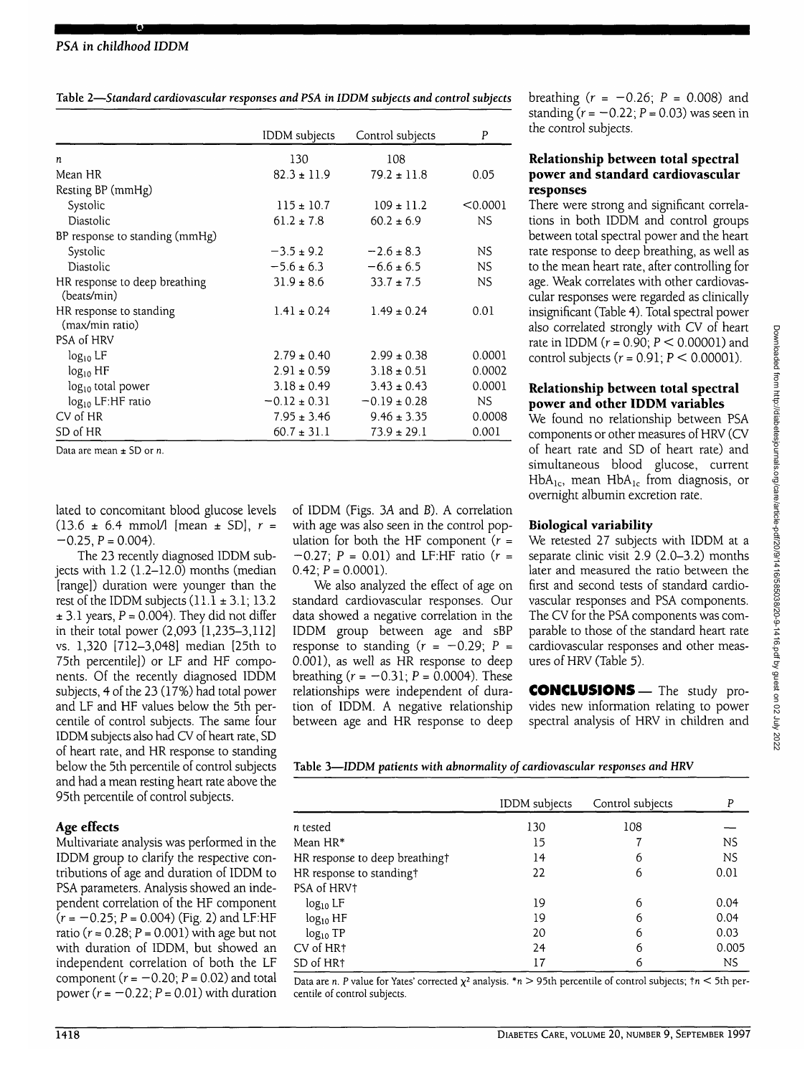|                                              | <b>IDDM</b> subjects | Control subjects | P        |
|----------------------------------------------|----------------------|------------------|----------|
| n                                            | 130                  | 108              |          |
| Mean HR                                      | $82.3 \pm 11.9$      | $79.2 \pm 11.8$  | 0.05     |
| Resting BP (mmHg)                            |                      |                  |          |
| Systolic                                     | $115 \pm 10.7$       | $109 \pm 11.2$   | < 0.0001 |
| Diastolic                                    | $61.2 \pm 7.8$       | $60.2 \pm 6.9$   | NS.      |
| BP response to standing (mmHg)               |                      |                  |          |
| Systolic                                     | $-3.5 \pm 9.2$       | $-2.6 \pm 8.3$   | NS.      |
| Diastolic                                    | $-5.6 \pm 6.3$       | $-6.6 \pm 6.5$   | NS.      |
| HR response to deep breathing<br>(beats/min) | $31.9 \pm 8.6$       | $33.7 \pm 7.5$   | NS       |
| HR response to standing<br>(max/min ratio)   | $1.41 \pm 0.24$      | $1.49 \pm 0.24$  | 0.01     |
| PSA of HRV                                   |                      |                  |          |
| $log_{10}$ LF                                | $2.79 \pm 0.40$      | $2.99 \pm 0.38$  | 0.0001   |
| $log_{10}$ HF                                | $2.91 \pm 0.59$      | $3.18 \pm 0.51$  | 0.0002   |
| $log_{10}$ total power                       | $3.18 \pm 0.49$      | $3.43 \pm 0.43$  | 0.0001   |
| log <sub>10</sub> LF:HF ratio                | $-0.12 \pm 0.31$     | $-0.19 \pm 0.28$ | NS.      |
| CV of HR                                     | $7.95 \pm 3.46$      | $9.46 \pm 3.35$  | 0.0008   |
| SD of HR                                     | $60.7 \pm 31.1$      | $73.9 \pm 29.1$  | 0.001    |

Data are mean ± SD or *n.*

lated to concomitant blood glucose levels (13.6 ± 6.4 mmol/1 [mean ± SD], *r =*  $-0.25$ ,  $P = 0.004$ ).

The 23 recently diagnosed IDDM subjects with 1.2 (1.2-12.0) months (median [range]) duration were younger than the rest of the IDDM subjects  $(11.1 \pm 3.1; 13.2)$  $\pm$  3.1 years, P = 0.004). They did not differ in their total power (2,093 [1,235-3,112] vs. 1,320 [712-3,048] median [25th to 75th percentile]) or LF and HF components. Of the recently diagnosed IDDM subjects, 4 of the 23 (17%) had total power and LF and HF values below the 5th percentile of control subjects. The same four IDDM subjects also had CV of heart rate, SD of heart rate, and HR response to standing below the 5th percentile of control subjects and had a mean resting heart rate above the 95th percentile of control subjects.

# **Age effects**

Multivariate analysis was performed in the IDDM group to clarify the respective contributions of age and duration of IDDM to PSA parameters. Analysis showed an independent correlation of the HF component  $(r = -0.25; P = 0.004)$  (Fig. 2) and LF:HF ratio ( $r = 0.28$ ;  $P = 0.001$ ) with age but not with duration of IDDM, but showed an independent correlation of both the LF component ( $r = -0.20$ ;  $P = 0.02$ ) and total power ( $r = -0.22$ ;  $P = 0.01$ ) with duration of IDDM (Figs. 3A and B). A correlation with age was also seen in the control population for both the HF component  $(r =$  $-0.27$ ; P = 0.01) and LF:HF ratio (r =  $0.42; P = 0.0001$ ).

We also analyzed the effect of age on standard cardiovascular responses. Our data showed a negative correlation in the IDDM group between age and sBP response to standing  $(r = -0.29; P =$ 0.001), as well as HR response to deep breathing  $(r = -0.31; P = 0.0004)$ . These relationships were independent of duration of IDDM. A negative relationship between age and HR response to deep breathing  $(r = -0.26; P = 0.008)$  and standing  $(r = -0.22; P = 0.03)$  was seen in the control subjects.

## **Relationship between total spectral power and standard cardiovascular responses**

There were strong and significant correlations in both IDDM and control groups between total spectral power and the heart rate response to deep breathing, as well as to the mean heart rate, after controlling for age. Weak correlates with other cardiovascular responses were regarded as clinically insignificant (Table 4). Total spectral power also correlated strongly with CV of heart rate in IDDM ( $r = 0.90$ ;  $P < 0.00001$ ) and control subjects ( $r = 0.91$ ;  $P < 0.00001$ ).

# **Relationship between total spectral power and other IDDM variables**

We found no relationship between PSA components or other measures of HRV (CV of heart rate and SD of heart rate) and simultaneous blood glucose, current  $HbA_{1c}$ , mean  $HbA_{1c}$  from diagnosis, or overnight albumin excretion rate.

# **Biological variability**

We retested 27 subjects with IDDM at a separate clinic visit 2.9 (2.0-3.2) months later and measured the ratio between the first and second tests of standard cardiovascular responses and PSA components. The CV for the PSA components was comparable to those of the standard heart rate cardiovascular responses and other measures of HRV (Table 5).

**CONCLUSIONS—**The study provides new information relating to power spectral analysis of HRV in children and

**Table 3—IDDM** *patients with abnormality of cardiovascular responses and* **HRV**

|                                | IDDM subjects | Control subjects | P         |
|--------------------------------|---------------|------------------|-----------|
| n tested                       | 130           | 108              |           |
| Mean HR*                       | 15            |                  | <b>NS</b> |
| HR response to deep breathing† | 14            | 6                | <b>NS</b> |
| HR response to standing†       | 22            | 6                | 0.01      |
| PSA of HRV†                    |               |                  |           |
| $log_{10}$ LF                  | 19            | 6                | 0.04      |
| $log_{10}$ HF                  | 19            | 6                | 0.04      |
| $log_{10}TP$                   | 20            | 6                | 0.03      |
| CV of HR1                      | 24            | 6                | 0.005     |
| SD of HR <sup>+</sup>          | 17            | 6                | NS.       |

Data are n. P value for Yates' corrected  $\chi^2$  analysis.  $* n > 95$ th percentile of control subjects;  $tn < 5$ th percentile of control subjects.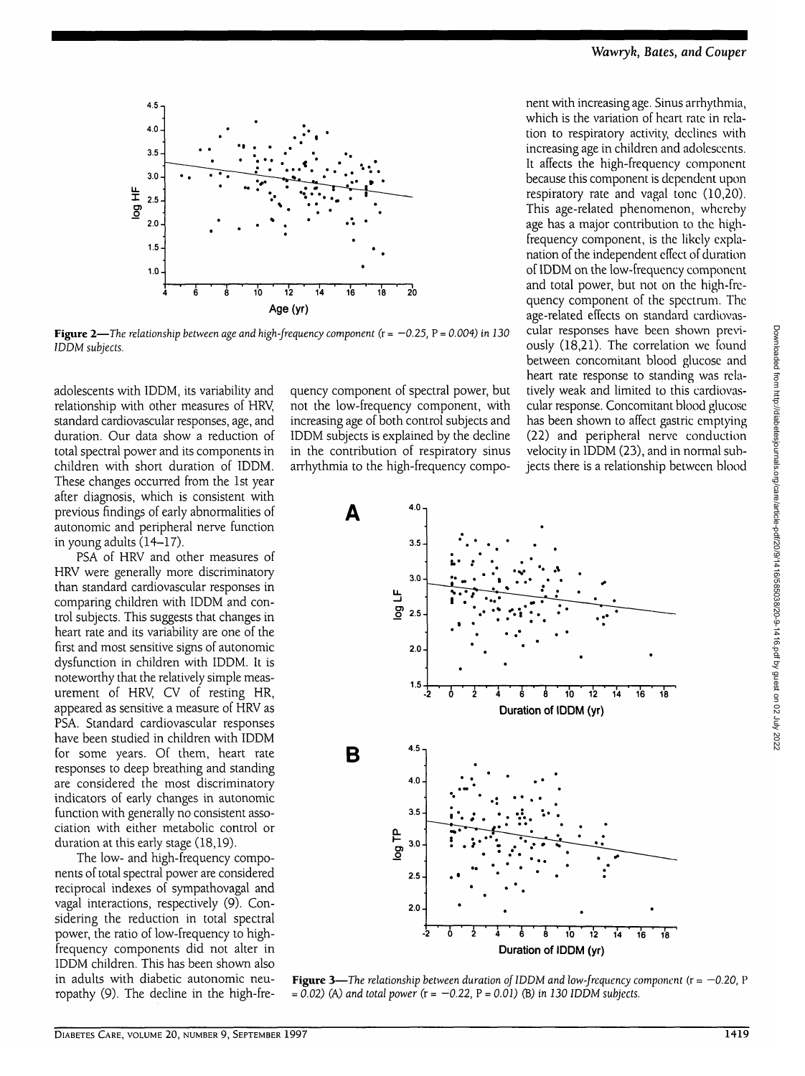

**Figure 2—***The relationship between age and high-frequency component* ( $r = -0.25$ ,  $P = 0.004$ ) in 130 *IDDM subjects.*

adolescents with IDDM, its variability and relationship with other measures of HRV, standard cardiovascular responses, age, and duration. Our data show a reduction of total spectral power and its components in children with short duration of IDDM. These changes occurred from the 1st year after diagnosis, which is consistent with previous findings of early abnormalities of autonomic and peripheral nerve function in young adults (14-17).

PSA of HRV and other measures of HRV were generally more discriminatory than standard cardiovascular responses in comparing children with IDDM and control subjects. This suggests that changes in heart rate and its variability are one of the first and most sensitive signs of autonomic dysfunction in children with IDDM. It is noteworthy that the relatively simple measurement of HRV, CV of resting HR, appeared as sensitive a measure of HRV as PSA. Standard cardiovascular responses have been studied in children with IDDM for some years. Of them, heart rate responses to deep breathing and standing are considered the most discriminatory indicators of early changes in autonomic function with generally no consistent association with either metabolic control or duration at this early stage (18,19).

The low- and high-frequency components of total spectral power are considered reciprocal indexes of sympathovagal and vagal interactions, respectively (9). Considering the reduction in total spectral power, the ratio of low-frequency to highfrequency components did not alter in IDDM children. This has been shown also in adults with diabetic autonomic neuropathy (9). The decline in the high-fre-

quency component of spectral power, but not the low-frequency component, with increasing age of both control subjects and IDDM subjects is explained by the decline in the contribution of respiratory sinus arrhythmia to the high-frequency component with increasing age. Sinus arrhythmia, which is the variation of heart rate in relation to respiratory activity, declines with increasing age in children and adolescents. It affects the high-frequency component because this component is dependent upon respiratory rate and vagal tone (10,20). This age-related phenomenon, whereby age has a major contribution to the highfrequency component, is the likely explanation of the independent effect of duration of IDDM on the low-frequency component and total power, but not on the high-frequency component of the spectrum. The age-related effects on standard cardiovascular responses have been shown previously (18,21). The correlation we found between concomitant blood glucose and heart rate response to standing was relatively weak and limited to this cardiovascular response. Concomitant blood glucose has been shown to affect gastric emptying (22) and peripheral nerve conduction velocity in IDDM (23), and in normal subjects there is a relationship between blood



**Figure 3**—*The relationship between duration of IDDM and low-frequency component* (r = *—0.20,* P = *0.02)* (A) *and total power* **(r** = *-0.22,* **P** = *0.01)* **(B)** *in 130 IDDM subjects.*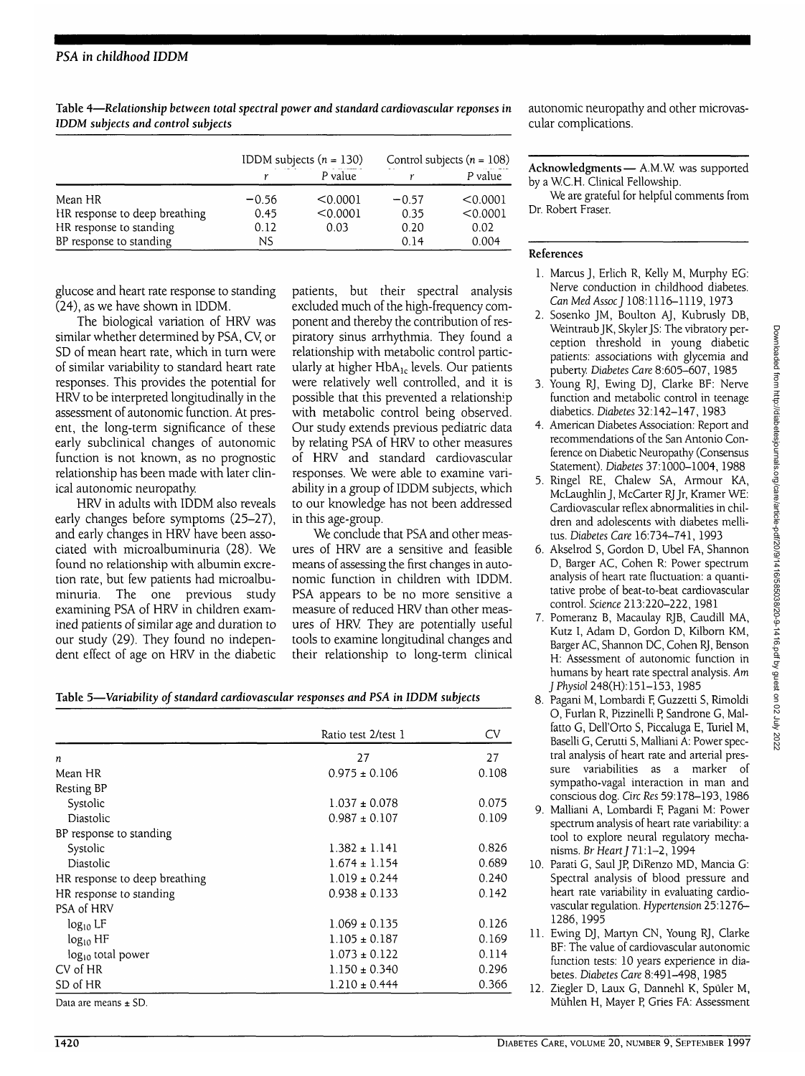|                               | IDDM subjects $(n = 130)$ |          | Control subjects ( $n = 108$ ) |          |
|-------------------------------|---------------------------|----------|--------------------------------|----------|
|                               |                           | P value  |                                | P value  |
| Mean HR                       | $-0.56$                   | < 0.0001 | $-0.57$                        | < 0.0001 |
| HR response to deep breathing | 0.45                      | < 0.0001 | 0.35                           | < 0.0001 |
| HR response to standing       | 0.12                      | 0.03     | 0.20                           | 0.02     |
| BP response to standing       | NS                        |          | 0.14                           | 0.004    |

**Table 4—***Relationship between total spectral power and standard cardiovascular reponses in IDDM subjects and control subjects*

glucose and heart rate response to standing (24), as we have shown in IDDM.

The biological variation of HRV was similar whether determined by PSA, Cy or SD of mean heart rate, which in turn were of similar variability to standard heart rate responses. This provides the potential for HRV to be interpreted longitudinally in the assessment of autonomic function. At present, the long-term significance of these early subclinical changes of autonomic function is not known, as no prognostic relationship has been made with later clinical autonomic neuropathy.

HRV in adults with IDDM also reveals early changes before symptoms (25-27), and early changes in HRV have been associated with microalbuminuria (28). We found no relationship with albumin excretion rate, but few patients had microalbuminuria. The one previous study examining PSA of HRV in children examined patients of similar age and duration to our study (29). They found no independent effect of age on HRV in the diabetic patients, but their spectral analysis excluded much of the high-frequency component and thereby the contribution of respiratory sinus arrhythmia. They found a relationship with metabolic control particularly at higher HbA<sub>lc</sub> levels. Our patients were relatively well controlled, and it is possible that this prevented a relationship with metabolic control being observed. Our study extends previous pediatric data by relating PSA of HRV to other measures of HRV and standard cardiovascular responses. We were able to examine variability in a group of IDDM subjects, which to our knowledge has not been addressed in this age-group.

We conclude that PSA and other measures of HRV are a sensitive and feasible means of assessing the first changes in autonomic function in children with IDDM. PSA appears to be no more sensitive a measure of reduced HRV than other measures of HRV They are potentially useful tools to examine longitudinal changes and their relationship to long-term clinical

**Table 5—***Variability of standard cardiovascular responses and PSA in IDDM subjects*

|                               | Ratio test 2/test 1 | CV    |
|-------------------------------|---------------------|-------|
| n                             | 27                  | 27    |
| Mean HR                       | $0.975 \pm 0.106$   | 0.108 |
| Resting BP                    |                     |       |
| Systolic                      | $1.037 \pm 0.078$   | 0.075 |
| Diastolic                     | $0.987 \pm 0.107$   | 0.109 |
| BP response to standing       |                     |       |
| Systolic                      | $1.382 \pm 1.141$   | 0.826 |
| Diastolic                     | $1.674 \pm 1.154$   | 0.689 |
| HR response to deep breathing | $1.019 \pm 0.244$   | 0.240 |
| HR response to standing       | $0.938 \pm 0.133$   | 0.142 |
| PSA of HRV                    |                     |       |
| $log_{10}$ LF                 | $1.069 \pm 0.135$   | 0.126 |
| $log_{10} HF$                 | $1.105 \pm 0.187$   | 0.169 |
| log <sub>10</sub> total power | $1.073 \pm 0.122$   | 0.114 |
| CV of HR                      | $1.150 \pm 0.340$   | 0.296 |
| SD of HR                      | $1.210 \pm 0.444$   | 0.366 |

Data are means ± SD.

autonomic neuropathy and other microvas-

**Acknowledgments**— A.M.W was supported by a WC.H. Clinical Fellowship.

We are grateful for helpful comments from Dr. Robert Fraser.

## **References**

cular complications.

- 1. Marcus J, Erlich R, Kelly M, Murphy EG: Nerve conduction in childhood diabetes. *Can MedAssoc]* 108:1116-1119,1973
- 2. Sosenko JM, Boulton AJ, Kubrusly DB, Weintraub JK, Skyler JS: The vibratory perception threshold in young diabetic patients: associations with glycemia and puberty. *Diabetes Care* 8:605-607, 1985
- 3. Young RJ, Ewing DJ, Clarke BF: Nerve function and metabolic control in teenage diabetics. *Diabetes* 32:142-147, 1983
- 4. American Diabetes Association: Report and recommendations of the San Antonio Conference on Diabetic Neuropathy (Consensus Statement). *Diabetes* 37:1000-1004, 1988
- 5. Ringel RE, Chalew SA, Armour KA, McLaughlinJ, McCarter RJ Jr, Kramer WE: Cardiovascular reflex abnormalities in children and adolescents with diabetes mellitus. *Diabetes Care* 16:734-741, 1993
- 6. Akselrod S, Gordon D, Ubel FA, Shannon D, Barger AC, Cohen R: Power spectrum analysis of heart rate fluctuation: a quantitative probe of beat-to-beat cardiovascular control. *Science* 213:220-222, 1981
- 7. Pomeranz B, Macaulay RJB, Caudill MA, Kutz I, Adam D, Gordon D, Kilborn KM, Barger AC, Shannon DC, Cohen RJ, Benson H: Assessment of autonomic function in humans by heart rate spectral analysis. *Am* J Physio! **248(H):** 151-153, 1985
- 8. Pagani M, Lombardi F, Guzzetti S, Rimoldi O, Furlan R, Pizzinelli P, Sandrone G, Malfatto G, Dell'Orto S, Piccaluga E, Turiel M, Baselli G, Cerutti S, Malliani A: Power spectral analysis of heart rate and arterial pressure variabilities as a marker of sympatho-vagal interaction in man and conscious dog. *CircRes* 59:178-193,1986
- 9. Malliani A, Lombardi F, Pagani M: Power spectrum analysis of heart rate variability: a tool to explore neural regulatory mechanisms. *Br Heart J* 71:1-2, 1994
- 10. Parati G, Saul JP, DiRenzo MD, Mancia G: Spectral analysis of blood pressure and heart rate variability in evaluating cardiovascular regulation. Hypertension 25:1276- 1286,1995
- 11. Ewing DJ, Martyn CN, Young RJ, Clarke BF: The value of cardiovascular autonomic function tests: 10 years experience in diabetes. *Diabetes Care* 8:491-498, 1985
- 12. Ziegler D, Laux G, Dannehl K, **Spiiler** M, Muhlen H, Mayer P, Gries FA: Assessment